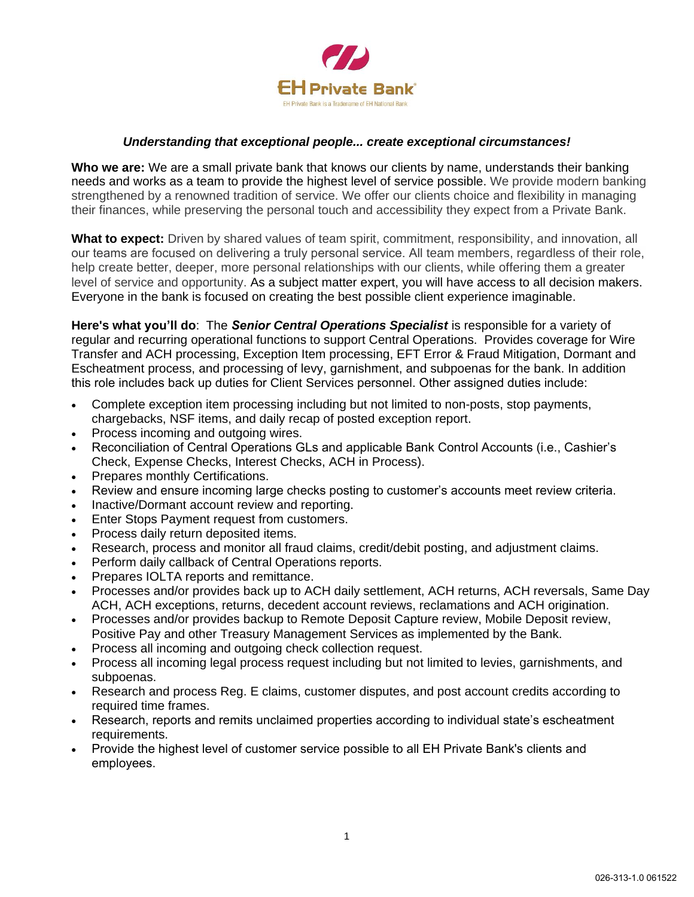

## *Understanding that exceptional people... create exceptional circumstances!*

**Who we are:** We are a small private bank that knows our clients by name, understands their banking needs and works as a team to provide the highest level of service possible. We provide modern banking strengthened by a renowned tradition of service. We offer our clients choice and flexibility in managing their finances, while preserving the personal touch and accessibility they expect from a Private Bank.

**What to expect:** Driven by shared values of team spirit, commitment, responsibility, and innovation, all our teams are focused on delivering a truly personal service. All team members, regardless of their role, help create better, deeper, more personal relationships with our clients, while offering them a greater level of service and opportunity. As a subject matter expert, you will have access to all decision makers. Everyone in the bank is focused on creating the best possible client experience imaginable.

**Here's what you'll do**: The *Senior Central Operations Specialist* is responsible for a variety of regular and recurring operational functions to support Central Operations. Provides coverage for Wire Transfer and ACH processing, Exception Item processing, EFT Error & Fraud Mitigation, Dormant and Escheatment process, and processing of levy, garnishment, and subpoenas for the bank. In addition this role includes back up duties for Client Services personnel. Other assigned duties include:

- Complete exception item processing including but not limited to non-posts, stop payments, chargebacks, NSF items, and daily recap of posted exception report.
- Process incoming and outgoing wires.
- Reconciliation of Central Operations GLs and applicable Bank Control Accounts (i.e., Cashier's Check, Expense Checks, Interest Checks, ACH in Process).
- Prepares monthly Certifications.
- Review and ensure incoming large checks posting to customer's accounts meet review criteria.
- Inactive/Dormant account review and reporting.
- Enter Stops Payment request from customers.
- Process daily return deposited items.
- Research, process and monitor all fraud claims, credit/debit posting, and adjustment claims.
- Perform daily callback of Central Operations reports.
- Prepares IOLTA reports and remittance.
- Processes and/or provides back up to ACH daily settlement, ACH returns, ACH reversals, Same Day ACH, ACH exceptions, returns, decedent account reviews, reclamations and ACH origination.
- Processes and/or provides backup to Remote Deposit Capture review, Mobile Deposit review, Positive Pay and other Treasury Management Services as implemented by the Bank.
- Process all incoming and outgoing check collection request.
- Process all incoming legal process request including but not limited to levies, garnishments, and subpoenas.
- Research and process Reg. E claims, customer disputes, and post account credits according to required time frames.
- Research, reports and remits unclaimed properties according to individual state's escheatment requirements.
- Provide the highest level of customer service possible to all EH Private Bank's clients and employees.